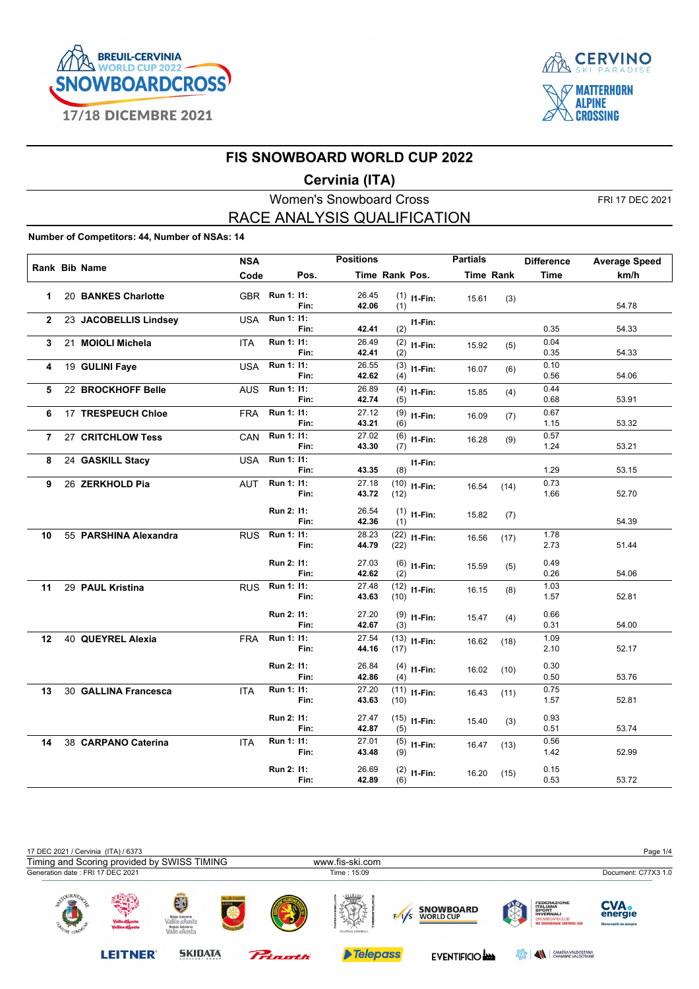



### **Cervinia (ITA)**

Women's Snowboard Cross FRI 17 DEC 2021 RACE ANALYSIS QUALIFICATION

#### **Number of Competitors: 44, Number of NSAs: 14**

|              |                       | <b>NSA</b> |                |      | <b>Positions</b> |                |                | <b>Partials</b> |                  | <b>Difference</b> | <b>Average Speed</b> |
|--------------|-----------------------|------------|----------------|------|------------------|----------------|----------------|-----------------|------------------|-------------------|----------------------|
|              | <b>Rank Bib Name</b>  | Code       |                | Pos. |                  | Time Rank Pos. |                |                 | <b>Time Rank</b> | <b>Time</b>       | km/h                 |
| 1            | 20 BANKES Charlotte   |            | GBR Run 1: 11: |      | 26.45            |                |                |                 |                  |                   |                      |
|              |                       |            |                | Fin: | 42.06            | (1)            | $(1)$ 11-Fin:  | 15.61           | (3)              |                   | 54.78                |
| $\mathbf{2}$ | 23 JACOBELLIS Lindsey | <b>USA</b> | Run 1: 11:     |      |                  |                | $11-Fin:$      |                 |                  |                   |                      |
|              |                       |            |                | Fin: | 42.41            | (2)            |                |                 |                  | 0.35              | 54.33                |
| 3            | 21 MOIOLI Michela     | <b>ITA</b> | Run 1: 11:     |      | 26.49            |                | $(2)$ 11-Fin:  | 15.92           | (5)              | 0.04              |                      |
|              |                       |            | Run 1: 11:     | Fin: | 42.41<br>26.55   | (2)            |                |                 |                  | 0.35<br>0.10      | 54.33                |
| 4            | 19 GULINI Faye        | <b>USA</b> |                | Fin: | 42.62            | (4)            | $(3)$ 11-Fin:  | 16.07           | (6)              | 0.56              | 54.06                |
| 5            | 22 BROCKHOFF Belle    | <b>AUS</b> | Run 1: 11:     |      | 26.89            |                | $(4)$ 11-Fin:  | 15.85           |                  | 0.44              |                      |
|              |                       |            |                | Fin: | 42.74            | (5)            |                |                 | (4)              | 0.68              | 53.91                |
| 6            | 17 TRESPEUCH Chloe    | <b>FRA</b> | Run 1: 11:     |      | 27.12            |                | $(9)$ 11-Fin:  | 16.09           | (7)              | 0.67              |                      |
|              |                       |            |                | Fin: | 43.21            | (6)            |                |                 |                  | 1.15              | 53.32                |
| 7            | 27 CRITCHLOW Tess     | CAN        | Run 1: 11:     |      | 27.02            |                | $(6)$ 11-Fin:  | 16.28           | (9)              | 0.57              |                      |
|              |                       |            |                | Fin: | 43.30            | (7)            |                |                 |                  | 1.24              | 53.21                |
| 8            | 24 GASKILL Stacy      | <b>USA</b> | Run 1: 11:     | Fin: | 43.35            | (8)            | I1-Fin:        |                 |                  | 1.29              | 53.15                |
| 9            | 26 ZERKHOLD Pia       | <b>AUT</b> | Run 1: 11:     |      | 27.18            |                |                |                 |                  | 0.73              |                      |
|              |                       |            |                | Fin: | 43.72            | (12)           | $(10)$ 11-Fin: | 16.54           | (14)             | 1.66              | 52.70                |
|              |                       |            | Run 2: 11:     |      | 26.54            |                |                |                 |                  |                   |                      |
|              |                       |            |                | Fin: | 42.36            | (1)            | $(1)$ 11-Fin:  | 15.82           | (7)              |                   | 54.39                |
| 10           | 55 PARSHINA Alexandra | <b>RUS</b> | Run 1: 11:     |      | 28.23            |                | $(22)$ 11-Fin: |                 |                  | 1.78              |                      |
|              |                       |            |                | Fin: | 44.79            | (22)           |                | 16.56           | (17)             | 2.73              | 51.44                |
|              |                       |            | Run 2: 11:     |      | 27.03            |                |                |                 |                  | 0.49              |                      |
|              |                       |            |                | Fin: | 42.62            | (2)            | $(6)$ 11-Fin:  | 15.59           | (5)              | 0.26              | 54.06                |
| 11           | 29 PAUL Kristina      | <b>RUS</b> | Run 1: 11:     |      | 27.48            |                | $(12)$ 11-Fin: | 16.15           | (8)              | 1.03              |                      |
|              |                       |            |                | Fin: | 43.63            | (10)           |                |                 |                  | 1.57              | 52.81                |
|              |                       |            | Run 2: 11:     |      | 27.20            |                | $(9)$ 11-Fin:  | 15.47           |                  | 0.66              |                      |
|              |                       |            |                | Fin: | 42.67            | (3)            |                |                 | (4)              | 0.31              | 54.00                |
| 12           | 40 QUEYREL Alexia     | <b>FRA</b> | Run 1: 11:     |      | 27.54            |                | $(13)$ I1-Fin: | 16.62           | (18)             | 1.09              |                      |
|              |                       |            |                | Fin: | 44.16            | (17)           |                |                 |                  | 2.10              | 52.17                |
|              |                       |            | Run 2: 11:     |      | 26.84            |                | $(4)$ 11-Fin:  | 16.02           | (10)             | 0.30              |                      |
|              |                       |            |                | Fin: | 42.86            | (4)            |                |                 |                  | 0.50              | 53.76                |
| 13           | 30 GALLINA Francesca  | <b>ITA</b> | Run 1: 11:     |      | 27.20            |                | $(11)$ I1-Fin: | 16.43           | (11)             | 0.75              |                      |
|              |                       |            |                | Fin: | 43.63            | (10)           |                |                 |                  | 1.57              | 52.81                |
|              |                       |            | Run 2: 11:     |      | 27.47            |                | $(15)$ 11-Fin: | 15.40           | (3)              | 0.93              |                      |
|              |                       |            |                | Fin: | 42.87            | (5)            |                |                 |                  | 0.51              | 53.74                |
| 14           | 38 CARPANO Caterina   | <b>ITA</b> | Run 1: 11:     |      | 27.01            |                | $(5)$ 11-Fin:  | 16.47           | (13)             | 0.56              |                      |
|              |                       |            |                | Fin: | 43.48            | (9)            |                |                 |                  | 1.42              | 52.99                |
|              |                       |            | Run 2: 11:     |      | 26.69            |                | $(2)$ 11-Fin:  | 16.20           | (15)             | 0.15              |                      |
|              |                       |            |                | Fin: | 42.89            | (6)            |                |                 |                  | 0.53              | 53.72                |

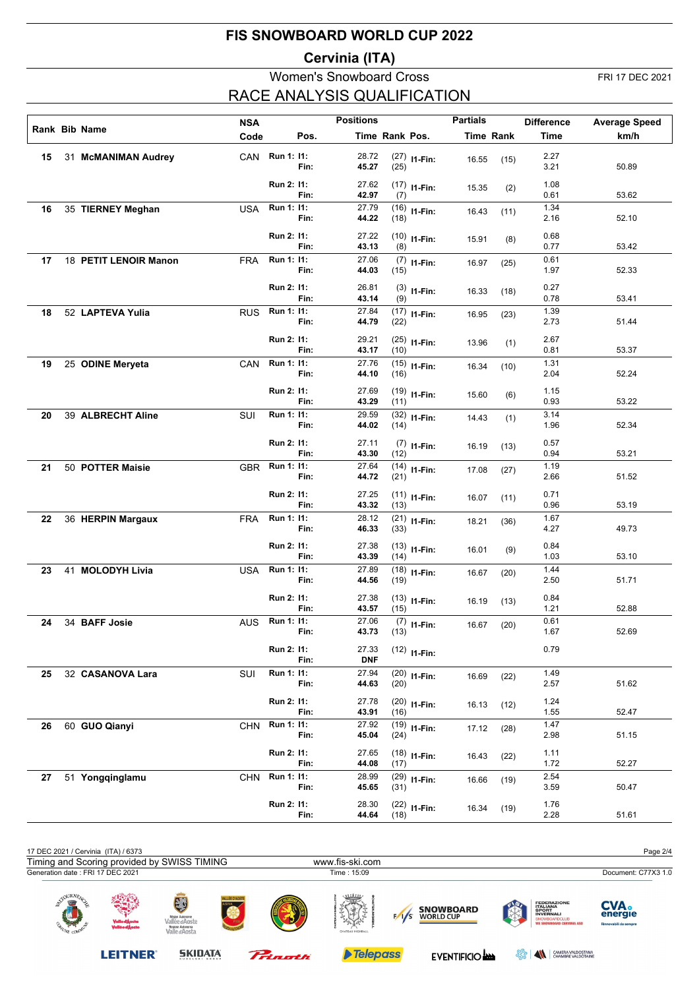## **Cervinia (ITA)**

# Women's Snowboard Cross FRI 17 DEC 2021 RACE ANALYSIS QUALIFICATION

|    |                       | <b>NSA</b> |            |      | <b>Positions</b>    |                |                | <b>Partials</b> |                  | <b>Difference</b> | <b>Average Speed</b> |
|----|-----------------------|------------|------------|------|---------------------|----------------|----------------|-----------------|------------------|-------------------|----------------------|
|    | Rank Bib Name         | Code       |            | Pos. |                     | Time Rank Pos. |                |                 | <b>Time Rank</b> | <b>Time</b>       | km/h                 |
|    |                       |            |            |      |                     |                |                |                 |                  |                   |                      |
| 15 | 31 McMANIMAN Audrey   | CAN        | Run 1: 11: | Fin: | 28.72<br>45.27      | (25)           | $(27)$ 11-Fin: | 16.55           | (15)             | 2.27<br>3.21      | 50.89                |
|    |                       |            | Run 2: 11: | Fin: | 27.62<br>42.97      | (7)            | $(17)$ 11-Fin: | 15.35           | (2)              | 1.08<br>0.61      | 53.62                |
| 16 | 35 TIERNEY Meghan     | USA        | Run 1: 11: | Fin: | 27.79<br>44.22      | (18)           | $(16)$ 11-Fin: | 16.43           | (11)             | 1.34<br>2.16      | 52.10                |
|    |                       |            | Run 2: 11: | Fin: | 27.22<br>43.13      | (8)            | $(10)$ 11-Fin: | 15.91           | (8)              | 0.68<br>0.77      | 53.42                |
| 17 | 18 PETIT LENOIR Manon | <b>FRA</b> | Run 1: 11: | Fin: | 27.06<br>44.03      | (15)           | $(7)$ 11-Fin:  | 16.97           | (25)             | 0.61<br>1.97      | 52.33                |
|    |                       |            | Run 2: 11: | Fin: | 26.81<br>43.14      | (9)            | $(3)$ 11-Fin:  | 16.33           | (18)             | 0.27<br>0.78      | 53.41                |
| 18 | 52 LAPTEVA Yulia      | <b>RUS</b> | Run 1: 11: | Fin: | 27.84<br>44.79      | (22)           | $(17)$ I1-Fin: | 16.95           | (23)             | 1.39<br>2.73      | 51.44                |
|    |                       |            | Run 2: 11: | Fin: | 29.21<br>43.17      | (10)           | $(25)$ 11-Fin: | 13.96           | (1)              | 2.67<br>0.81      | 53.37                |
| 19 | 25 ODINE Meryeta      | CAN        | Run 1: 11: | Fin: | 27.76<br>44.10      | (16)           | $(15)$ 11-Fin: | 16.34           | (10)             | 1.31<br>2.04      | 52.24                |
|    |                       |            | Run 2: 11: | Fin: | 27.69<br>43.29      | (11)           | $(19)$ 11-Fin: | 15.60           | (6)              | 1.15<br>0.93      | 53.22                |
| 20 | 39 ALBRECHT Aline     | <b>SUI</b> | Run 1: 11: | Fin: | 29.59<br>44.02      | (14)           | $(32)$ 11-Fin: | 14.43           | (1)              | 3.14<br>1.96      | 52.34                |
|    |                       |            | Run 2: 11: | Fin: | 27.11<br>43.30      | (12)           | $(7)$ 11-Fin:  | 16.19           | (13)             | 0.57<br>0.94      | 53.21                |
| 21 | 50 POTTER Maisie      | <b>GBR</b> | Run 1: 11: | Fin: | 27.64<br>44.72      | (21)           | $(14)$ 11-Fin: | 17.08           | (27)             | 1.19<br>2.66      | 51.52                |
|    |                       |            | Run 2: 11: | Fin: | 27.25<br>43.32      | (13)           | $(11)$ I1-Fin: | 16.07           | (11)             | 0.71<br>0.96      | 53.19                |
| 22 | 36 HERPIN Margaux     | <b>FRA</b> | Run 1: 11: | Fin: | 28.12<br>46.33      | (33)           | $(21)$ 11-Fin: | 18.21           | (36)             | 1.67<br>4.27      | 49.73                |
|    |                       |            | Run 2: 11: | Fin: | 27.38<br>43.39      | (14)           | $(13)$ 11-Fin: | 16.01           | (9)              | 0.84<br>1.03      | 53.10                |
| 23 | 41 MOLODYH Livia      | <b>USA</b> | Run 1: 11: | Fin: | 27.89<br>44.56      | (19)           | $(18)$ I1-Fin: | 16.67           | (20)             | 1.44<br>2.50      | 51.71                |
|    |                       |            | Run 2: 11: | Fin: | 27.38<br>43.57      | (15)           | $(13)$ 11-Fin: | 16.19           | (13)             | 0.84<br>1.21      | 52.88                |
| 24 | 34 BAFF Josie         | <b>AUS</b> | Run 1: 11: | Fin: | 27.06<br>43.73      | (13)           | $(7)$ 11-Fin:  | 16.67           | (20)             | 0.61<br>1.67      | 52.69                |
|    |                       |            | Run 2: 11: | Fin: | 27.33<br><b>DNF</b> |                | $(12)$ 11-Fin: |                 |                  | 0.79              |                      |
| 25 | 32 CASANOVA Lara      | SUI        | Run 1: 11: | Fin: | 27.94<br>44.63      | (20)           | $(20)$ 11-Fin: | 16.69           | (22)             | 1.49<br>2.57      | 51.62                |
|    |                       |            | Run 2: 11: | Fin: | 27.78<br>43.91      | (16)           | $(20)$ 11-Fin: | 16.13           | (12)             | 1.24<br>1.55      | 52.47                |
| 26 | 60 GUO Qianyi         | <b>CHN</b> | Run 1: 11: | Fin: | 27.92<br>45.04      | (24)           | $(19)$ 11-Fin: | 17.12           | (28)             | 1.47<br>2.98      | 51.15                |
|    |                       |            | Run 2: 11: | Fin: | 27.65<br>44.08      | (17)           | $(18)$ 11-Fin: | 16.43           | (22)             | 1.11<br>1.72      | 52.27                |
| 27 | 51 Yongqinglamu       | <b>CHN</b> | Run 1: 11: | Fin: | 28.99<br>45.65      | (31)           | $(29)$ 11-Fin: | 16.66           | (19)             | 2.54<br>3.59      | 50.47                |
|    |                       |            | Run 2: 11: | Fin: | 28.30<br>44.64      | (18)           | $(22)$ 11-Fin: | 16.34           | (19)             | 1.76<br>2.28      | 51.61                |

| 17 DEC 2021 / Cervinia (ITA) / 6373         |                                 |                                                                        |             |                                           |                                      |                                                                                                                                | Page 2/4                                        |
|---------------------------------------------|---------------------------------|------------------------------------------------------------------------|-------------|-------------------------------------------|--------------------------------------|--------------------------------------------------------------------------------------------------------------------------------|-------------------------------------------------|
| Timing and Scoring provided by SWISS TIMING |                                 |                                                                        |             | www.fis-ski.com                           |                                      |                                                                                                                                |                                                 |
| Generation date : FRI 17 DEC 2021           |                                 |                                                                        |             | Time: 15:09                               |                                      |                                                                                                                                | Document: C77X3 1.0                             |
| OURNE.<br>$-100$<br><b>TONE COM</b>         | Valle d'Aosta<br>Vallée d'Aoste | Région Autonome<br>Vallée d'Aoste<br>Regione Autonoma<br>Valle d'Aosta | LLÉE D'AOST | umn<br><b>Ago Car</b><br>CHATEAU HIGHBALL | <b>SNOWBOARD</b><br><b>WORLD CUP</b> | <b>FEDERAZIONE</b><br><b>ITALIANA</b><br>SPORT<br><b>INVERNALI</b><br><b>SNOWBOARDCLUB</b><br><b>WE SNOWBOARD CERVINIA ASD</b> | <b>CVA.</b><br>energie<br>Rinnovabili da sempre |

Prinath

**LEITNER®** 

**SKIDATA** 

Telepass

EVENTIFICIO **AND EVENTIFICIO AND ESSE** AND STATISTICIAL STATISTICS OF THE VALDOTAINE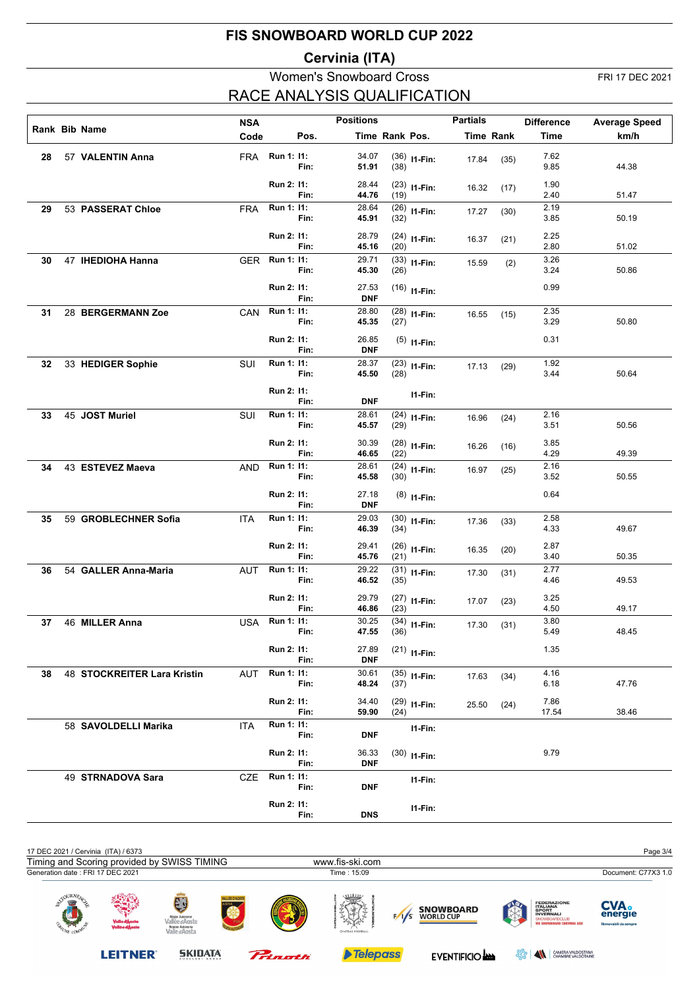## **Cervinia (ITA)**

# Women's Snowboard Cross FRI 17 DEC 2021 RACE ANALYSIS QUALIFICATION

|    |                             | <b>NSA</b> |                |      | <b>Positions</b>    |                |                | <b>Partials</b> |           | <b>Difference</b> | <b>Average Speed</b> |
|----|-----------------------------|------------|----------------|------|---------------------|----------------|----------------|-----------------|-----------|-------------------|----------------------|
|    | Rank Bib Name               | Code       |                | Pos. |                     | Time Rank Pos. |                |                 | Time Rank | Time              | km/h                 |
|    |                             |            |                |      |                     |                |                |                 |           |                   |                      |
| 28 | 57 VALENTIN Anna            |            | FRA Run 1: 11: | Fin: | 34.07<br>51.91      | (38)           | $(36)$ 11-Fin: | 17.84           | (35)      | 7.62<br>9.85      | 44.38                |
|    |                             |            | Run 2: 11:     | Fin: | 28.44<br>44.76      | (19)           | $(23)$ 11-Fin: | 16.32           | (17)      | 1.90<br>2.40      | 51.47                |
| 29 | 53 PASSERAT Chloe           | <b>FRA</b> | Run 1: 11:     |      | 28.64               |                | $(26)$ 11-Fin: |                 |           | 2.19              |                      |
|    |                             |            |                | Fin: | 45.91               | (32)           |                | 17.27           | (30)      | 3.85              | 50.19                |
|    |                             |            | Run 2: 11:     | Fin: | 28.79<br>45.16      | (20)           | $(24)$ 11-Fin: | 16.37           | (21)      | 2.25<br>2.80      | 51.02                |
| 30 | 47 IHEDIOHA Hanna           | GER        | Run 1: 11:     | Fin: | 29.71<br>45.30      | (26)           | $(33)$ 11-Fin: | 15.59           | (2)       | 3.26<br>3.24      | 50.86                |
|    |                             |            |                |      |                     |                |                |                 |           |                   |                      |
|    |                             |            | Run 2: 11:     | Fin: | 27.53<br><b>DNF</b> |                | $(16)$ 11-Fin: |                 |           | 0.99              |                      |
| 31 | 28 BERGERMANN Zoe           | CAN        | Run 1: 11:     | Fin: | 28.80<br>45.35      | (27)           | $(28)$ 11-Fin: | 16.55           | (15)      | 2.35<br>3.29      | 50.80                |
|    |                             |            | Run 2: 11:     |      | 26.85               |                | $(5)$ 11-Fin:  |                 |           | 0.31              |                      |
|    |                             |            |                | Fin: | <b>DNF</b>          |                |                |                 |           |                   |                      |
| 32 | 33 HEDIGER Sophie           | SUI        | Run 1: 11:     | Fin: | 28.37<br>45.50      | (28)           | $(23)$ 11-Fin: | 17.13           | (29)      | 1.92<br>3.44      | 50.64                |
|    |                             |            | Run 2: 11:     | Fin: | <b>DNF</b>          |                | $11-Fin:$      |                 |           |                   |                      |
| 33 | 45 JOST Muriel              | SUI        | Run 1: 11:     |      | 28.61               |                | $(24)$ 11-Fin: | 16.96           | (24)      | 2.16              |                      |
|    |                             |            |                | Fin: | 45.57               | (29)           |                |                 |           | 3.51              | 50.56                |
|    |                             |            | Run 2: 11:     | Fin: | 30.39               |                | $(28)$ 11-Fin: | 16.26           | (16)      | 3.85<br>4.29      | 49.39                |
|    | 43 ESTEVEZ Maeva            |            | Run 1: 11:     |      | 46.65<br>28.61      | (22)           |                |                 |           | 2.16              |                      |
| 34 |                             | AND        |                | Fin: | 45.58               | (30)           | $(24)$ 11-Fin: | 16.97           | (25)      | 3.52              | 50.55                |
|    |                             |            | Run 2: 11:     |      | 27.18               |                | $(8)$ 11-Fin:  |                 |           | 0.64              |                      |
| 35 | 59 GROBLECHNER Sofia        | <b>ITA</b> | Run 1: 11:     | Fin: | <b>DNF</b><br>29.03 |                |                |                 |           | 2.58              |                      |
|    |                             |            |                | Fin: | 46.39               | (34)           | $(30)$ 11-Fin: | 17.36           | (33)      | 4.33              | 49.67                |
|    |                             |            | Run 2: 11:     |      | 29.41               |                | $(26)$ 11-Fin: | 16.35           | (20)      | 2.87              |                      |
|    |                             |            | Run 1: 11:     | Fin: | 45.76<br>29.22      | (21)           |                |                 |           | 3.40<br>2.77      | 50.35                |
| 36 | 54 GALLER Anna-Maria        | <b>AUT</b> |                | Fin: | 46.52               | (35)           | $(31)$ 11-Fin: | 17.30           | (31)      | 4.46              | 49.53                |
|    |                             |            | Run 2: 11:     | Fin: | 29.79<br>46.86      | (23)           | $(27)$ 11-Fin: | 17.07           | (23)      | 3.25<br>4.50      | 49.17                |
| 37 | 46 MILLER Anna              |            | USA Run 1: 11: |      | 30.25               |                | $(34)$ I1-Fin: |                 |           | 3.80              |                      |
|    |                             |            |                | Fin: | 47.55               | (36)           |                | 17.30           | (31)      | 5.49              | 48.45                |
|    |                             |            | Run 2: 11:     | Fin: | 27.89<br><b>DNF</b> |                | $(21)$ 11-Fin: |                 |           | 1.35              |                      |
| 38 | 48 STOCKREITER Lara Kristin | AUT        | Run 1: 11:     |      | 30.61               |                | $(35)$ 11-Fin: | 17.63           | (34)      | 4.16              |                      |
|    |                             |            |                | Fin: | 48.24               | (37)           |                |                 |           | 6.18              | 47.76                |
|    |                             |            | Run 2: 11:     | Fin: | 34.40<br>59.90      | (24)           | $(29)$ 11-Fin: | 25.50           | (24)      | 7.86<br>17.54     | 38.46                |
|    | 58 SAVOLDELLI Marika        | ITA        | Run 1: 11:     | Fin: | <b>DNF</b>          |                | I1-Fin:        |                 |           |                   |                      |
|    |                             |            | Run 2: 11:     |      | 36.33               |                | $(30)$ 11-Fin: |                 |           | 9.79              |                      |
|    |                             |            | Run 1: 11:     | Fin: | <b>DNF</b>          |                |                |                 |           |                   |                      |
|    | 49 STRNADOVA Sara           | CZE        |                | Fin: | DNF                 |                | I1-Fin:        |                 |           |                   |                      |
|    |                             |            | Run 2: 11:     |      |                     |                | I1-Fin:        |                 |           |                   |                      |
|    |                             |            |                | Fin: | <b>DNS</b>          |                |                |                 |           |                   |                      |

| 17 DEC 2021 / Cervinia (ITA) / 6373                    |                                  |                                                                              |                    |         |                                            |     |                                      |        |                                                                                                                         | Page 3/4                                        |
|--------------------------------------------------------|----------------------------------|------------------------------------------------------------------------------|--------------------|---------|--------------------------------------------|-----|--------------------------------------|--------|-------------------------------------------------------------------------------------------------------------------------|-------------------------------------------------|
| Timing and Scoring provided by SWISS TIMING            |                                  |                                                                              |                    |         | www.fis-ski.com                            |     |                                      |        |                                                                                                                         |                                                 |
| Generation date: FRI 17 DEC 2021                       |                                  |                                                                              |                    |         | Time: 15:09                                |     |                                      |        |                                                                                                                         | Document: C77X3 1.0                             |
| OURNE/<br>$\mathbb{F}^2$<br>$\sim$<br><b>Barriotte</b> | Valle d'Àosta<br>Vallé e d'Àoste | EJ<br>Région Autonome<br>Vallée d'Aoste<br>Regione Autonoma<br>Valle d'Aosta | <b>LLÉE D'AOST</b> |         | uthu<br><b>Barbara</b><br>CHATEAU HIGHBALL | 1/s | <b>SNOWBOARD</b><br><b>WORLD CUP</b> | hЙ     | <b>FEDERAZIONE</b><br><b>ITALIANA</b><br>SPORT<br><b>INVERNALI</b><br>SNOWBOARDCLUB<br><b>WE SNOWBOARD CERVINIA ASD</b> | <b>CVA.</b><br>energie<br>Rinnovabili da sempre |
|                                                        | <b>LEITNER</b>                   | <b>SKIDATA</b><br>.                                                          |                    | Pringth | <b>Telepass</b>                            |     | <b>EVENTIFICIO AND</b>               | ಶ್ವೇಶಿ | $\blacktriangle$<br>CAMERA VALDOSTANA<br>CHAMBRE VALDOTAINE                                                             |                                                 |